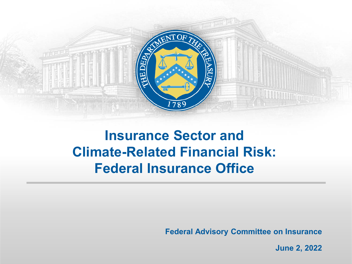

# **Insurance Sector and Climate-Related Financial Risk: Federal Insurance Office**

**Federal Advisory Committee on Insurance**

**June 2, 2022**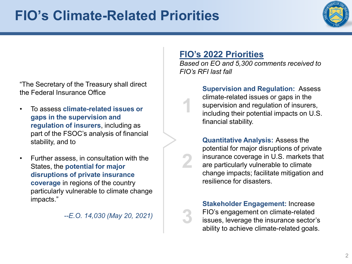# **FIO's Climate-Related Priorities**



"The Secretary of the Treasury shall direct the Federal Insurance Office

- To assess **climate-related issues or gaps in the supervision and regulation of insurers**, including as part of the FSOC's analysis of financial stability, and to
- Further assess, in consultation with the States, the **potential for major disruptions of private insurance coverage** in regions of the country particularly vulnerable to climate change impacts."

*--E.O. 14,030 (May 20, 2021)*

#### **FIO's 2022 Priorities**

**1**

**2**

**3**

*Based on EO and 5,300 comments received to FIO's RFI last fall*

> **Supervision and Regulation:** Assess climate-related issues or gaps in the supervision and regulation of insurers, including their potential impacts on U.S. financial stability.

**Quantitative Analysis:** Assess the potential for major disruptions of private insurance coverage in U.S. markets that are particularly vulnerable to climate change impacts; facilitate mitigation and resilience for disasters.

**Stakeholder Engagement:** Increase FIO's engagement on climate-related issues, leverage the insurance sector's ability to achieve climate-related goals.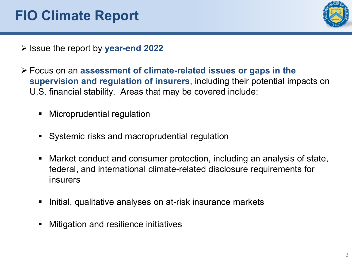# **FIO Climate Report**



- Issue the report by **year-end 2022**
- Focus on an **assessment of climate-related issues or gaps in the supervision and regulation of insurers**, including their potential impacts on U.S. financial stability. Areas that may be covered include:
	- **Kallengia Microprudential regulation**
	- **Systemic risks and macroprudential regulation**
	- Market conduct and consumer protection, including an analysis of state, federal, and international climate-related disclosure requirements for insurers
	- **Initial, qualitative analyses on at-risk insurance markets**
	- **Kritterian in Andrian** Mitiatives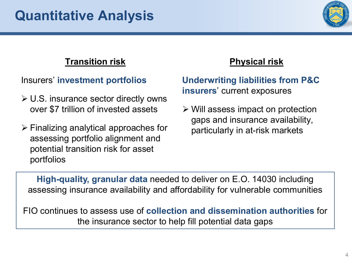

### **Transition risk**

Insurers' **investment portfolios**

- $\triangleright$  U.S. insurance sector directly owns over \$7 trillion of invested assets
- $\triangleright$  Finalizing analytical approaches for assessing portfolio alignment and potential transition risk for asset portfolios

### **Physical risk**

#### **Underwriting liabilities from P&C insurers**' current exposures

 $\triangleright$  Will assess impact on protection gaps and insurance availability, particularly in at-risk markets

**High-quality, granular data** needed to deliver on E.O. 14030 including assessing insurance availability and affordability for vulnerable communities

FIO continues to assess use of **collection and dissemination authorities** for the insurance sector to help fill potential data gaps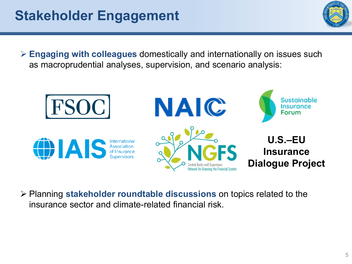

 **Engaging with colleagues** domestically and internationally on issues such as macroprudential analyses, supervision, and scenario analysis:



 Planning **stakeholder roundtable discussions** on topics related to the insurance sector and climate-related financial risk.